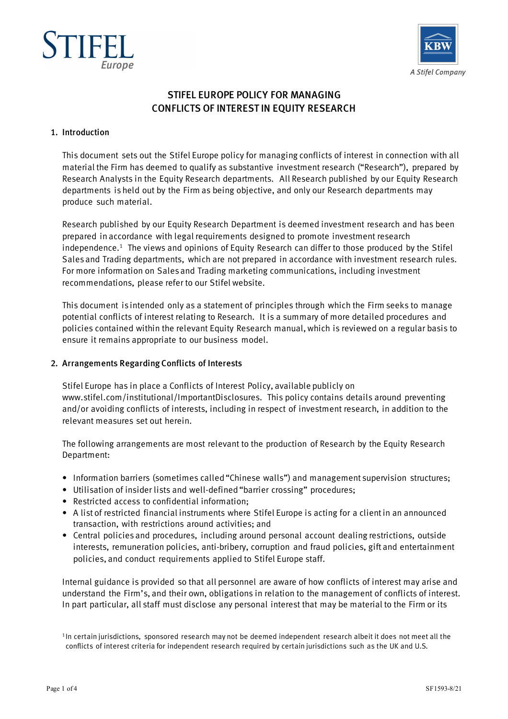



# STIFEL EUROPE POLICY FOR MANAGING CONFLICTS OF INTEREST IN EQUITY RESEARCH

### 1. Introduction

This document sets out the Stifel Europe policy for managing conflicts of interest in connection with all material the Firm has deemed to qualify as substantive investment research ("Research"), prepared by Research Analysts in the Equity Research departments. All Research published by our Equity Research departments is held out by the Firm as being objective, and only our Research departments may produce such material.

Research published by our Equity Research Department is deemed investment research and has been prepared in accordance with legal requirements designed to promote investment research independence. 1 The views and opinions of Equity Research can differ to those produced by the Stifel Sales and Trading departments, which are not prepared in accordance with investment research rules. For more information on Sales and Trading marketing communications, including investment recommendations, please refer to our Stifel website.

This document is intended only as a statement of principles through which the Firm seeks to manage potential conflicts of interest relating to Research. It is a summary of more detailed procedures and policies contained within the relevant Equity Research manual,which is reviewed on a regular basis to ensure it remains appropriate to our business model.

### 2. Arrangements Regarding Conflicts of Interests

Stifel Europe has in place a Conflicts of Interest Policy, available publicly on www.stifel.com/institutional/ImportantDisclosures. This policy contains details around preventing and/or avoiding conflicts of interests, including in respect of investment research, in addition to the relevant measures set out herein.

The following arrangements are most relevant to the production of Research by the Equity Research Department:

- Information barriers (sometimes called "Chinese walls") and management supervision structures;
- Utilisation of insider lists and well-defined "barrier crossing" procedures;
- Restricted access to confidential information;
- A list of restricted financial instruments where Stifel Europe is acting for a client in an announced transaction, with restrictions around activities; and
- Central policies and procedures, including around personal account dealing restrictions, outside interests, remuneration policies, anti-bribery, corruption and fraud policies, gift and entertainment policies, and conduct requirements applied to Stifel Europe staff.

Internal guidance is provided so that all personnel are aware of how conflicts of interest may arise and understand the Firm's, and their own, obligations in relation to the management of conflicts of interest. In part particular, all staff must disclose any personal interest that may be material to the Firm or its

<sup>1</sup> In certain jurisdictions, sponsored research may not be deemed independent research albeit it does not meet all the conflicts of interest criteria for independent research required by certain jurisdictions such as the UK and U.S.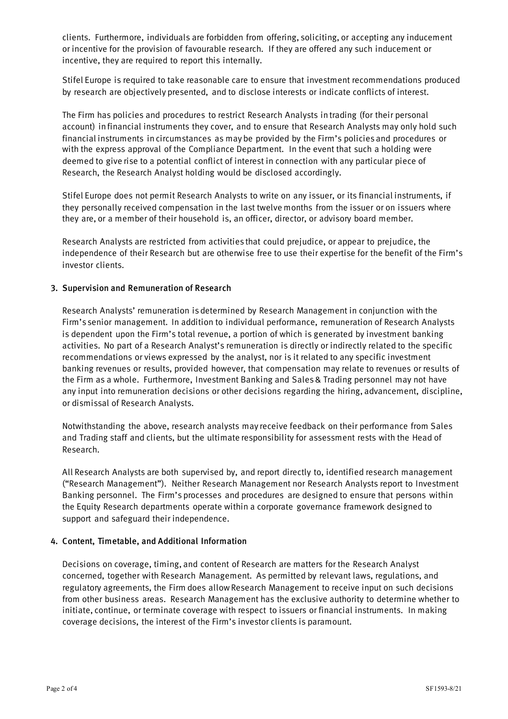clients. Furthermore, individuals are forbidden from offering, soliciting, or accepting any inducement or incentive for the provision of favourable research. If they are offered any such inducement or incentive, they are required to report this internally.

Stifel Europe is required to take reasonable care to ensure that investment recommendations produced by research are objectively presented, and to disclose interests or indicate conflicts of interest.

The Firm has policies and procedures to restrict Research Analysts in trading (for their personal account) in financial instruments they cover, and to ensure that Research Analysts may only hold such financial instruments in circumstances as may be provided by the Firm's policies and procedures or with the express approval of the Compliance Department. In the event that such a holding were deemed to give rise to a potential conflict of interest in connection with any particular piece of Research, the Research Analyst holding would be disclosed accordingly.

Stifel Europe does not permit Research Analysts to write on any issuer, or its financial instruments, if they personally received compensation in the last twelve months from the issuer or on issuers where they are, or a member of their household is, an officer, director, or advisory board member.

Research Analysts are restricted from activities that could prejudice, or appear to prejudice, the independence of their Research but are otherwise free to use their expertise for the benefit of the Firm's investor clients.

# 3. Supervision and Remuneration of Research

Research Analysts' remuneration is determined by Research Management in conjunction with the Firm's senior management. In addition to individual performance, remuneration of Research Analysts is dependent upon the Firm's total revenue, a portion of which is generated by investment banking activities. No part of a Research Analyst's remuneration is directly or indirectly related to the specific recommendations or views expressed by the analyst, nor is it related to any specific investment banking revenues or results, provided however, that compensation may relate to revenues or results of the Firm as a whole. Furthermore, Investment Banking and Sales & Trading personnel may not have any input into remuneration decisions or other decisions regarding the hiring, advancement, discipline, or dismissal of Research Analysts.

Notwithstanding the above, research analysts may receive feedback on their performance from Sales and Trading staff and clients, but the ultimate responsibility for assessment rests with the Head of Research.

All Research Analysts are both supervised by, and report directly to, identified research management ("Research Management"). Neither Research Management nor Research Analysts report to Investment Banking personnel. The Firm's processes and procedures are designed to ensure that persons within the Equity Research departments operate within a corporate governance framework designed to support and safeguard their independence.

### 4. Content, Timetable, and Additional Information

Decisions on coverage, timing, and content of Research are matters for the Research Analyst concerned, together with Research Management. As permitted by relevant laws, regulations, and regulatory agreements, the Firm does allow Research Management to receive input on such decisions from other business areas. Research Management has the exclusive authority to determine whether to initiate, continue, or terminate coverage with respect to issuers or financial instruments. In making coverage decisions, the interest of the Firm's investor clients is paramount.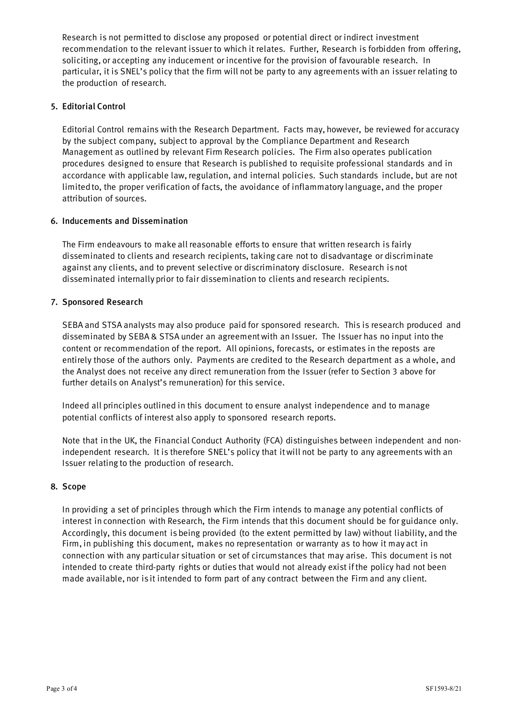Research is not permitted to disclose any proposed or potential direct or indirect investment recommendation to the relevant issuer to which it relates. Further, Research is forbidden from offering, soliciting, or accepting any inducement or incentive for the provision of favourable research. In particular, it is SNEL's policy that the firm will not be party to any agreements with an issuer relating to the production of research.

# 5. Editorial Control

Editorial Control remains with the Research Department. Facts may, however, be reviewed for accuracy by the subject company, subject to approval by the Compliance Department and Research Management as outlined by relevant Firm Research policies. The Firm also operates publication procedures designed to ensure that Research is published to requisite professional standards and in accordance with applicable law, regulation, and internal policies. Such standards include, but are not limited to, the proper verification of facts, the avoidance of inflammatory language, and the proper attribution of sources.

# 6. Inducements and Dissemination

The Firm endeavours to make all reasonable efforts to ensure that written research is fairly disseminated to clients and research recipients, taking care not to disadvantage or discriminate against any clients, and to prevent selective or discriminatory disclosure. Research is not disseminated internally prior to fair dissemination to clients and research recipients.

# 7. Sponsored Research

SEBA and STSA analysts may also produce paid for sponsored research. This is research produced and disseminated by SEBA & STSA under an agreement with an Issuer. The Issuer has no input into the content or recommendation of the report. All opinions, forecasts, or estimates in the reposts are entirely those of the authors only. Payments are credited to the Research department as a whole, and the Analyst does not receive any direct remuneration from the Issuer (refer to Section 3 above for further details on Analyst's remuneration) for this service.

Indeed all principles outlined in this document to ensure analyst independence and to manage potential conflicts of interest also apply to sponsored research reports.

Note that in the UK, the Financial Conduct Authority (FCA) distinguishes between independent and nonindependent research. It is therefore SNEL's policy that it will not be party to any agreements with an Issuer relating to the production of research.

### 8. Scope

In providing a set of principles through which the Firm intends to manage any potential conflicts of interest in connection with Research, the Firm intends that this document should be for guidance only. Accordingly, this document is being provided (to the extent permitted by law) without liability, and the Firm, in publishing this document, makes no representation or warranty as to how it may act in connection with any particular situation or set of circumstances that may arise. This document is not intended to create third‐party rights or duties that would not already exist if the policy had not been made available, nor is it intended to form part of any contract between the Firm and any client.